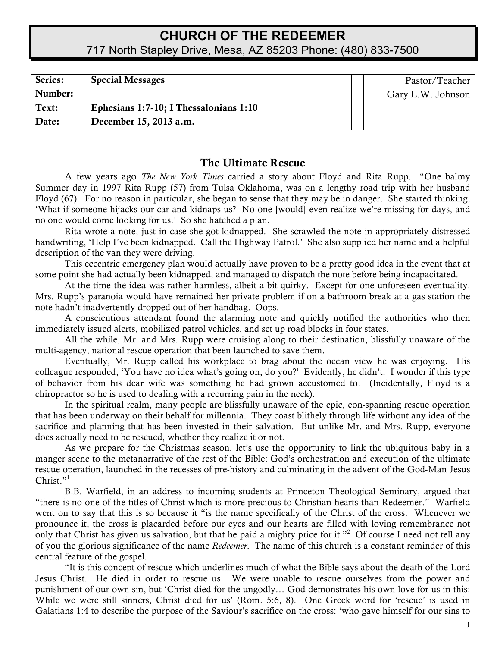# **CHURCH OF THE REDEEMER** 717 North Stapley Drive, Mesa, AZ 85203 Phone: (480) 833-7500

| Series: | <b>Special Messages</b>                | Pastor/Teacher    |
|---------|----------------------------------------|-------------------|
| Number: |                                        | Gary L.W. Johnson |
| Text:   | Ephesians 1:7-10; I Thessalonians 1:10 |                   |
| Date:   | December 15, 2013 a.m.                 |                   |

## The Ultimate Rescue

A few years ago *The New York Times* carried a story about Floyd and Rita Rupp. "One balmy Summer day in 1997 Rita Rupp (57) from Tulsa Oklahoma, was on a lengthy road trip with her husband Floyd (67). For no reason in particular, she began to sense that they may be in danger. She started thinking, 'What if someone hijacks our car and kidnaps us? No one [would] even realize we're missing for days, and no one would come looking for us.' So she hatched a plan.

Rita wrote a note, just in case she got kidnapped. She scrawled the note in appropriately distressed handwriting, 'Help I've been kidnapped. Call the Highway Patrol.' She also supplied her name and a helpful description of the van they were driving.

This eccentric emergency plan would actually have proven to be a pretty good idea in the event that at some point she had actually been kidnapped, and managed to dispatch the note before being incapacitated.

At the time the idea was rather harmless, albeit a bit quirky. Except for one unforeseen eventuality. Mrs. Rupp's paranoia would have remained her private problem if on a bathroom break at a gas station the note hadn't inadvertently dropped out of her handbag. Oops.

A conscientious attendant found the alarming note and quickly notified the authorities who then immediately issued alerts, mobilized patrol vehicles, and set up road blocks in four states.

All the while, Mr. and Mrs. Rupp were cruising along to their destination, blissfully unaware of the multi-agency, national rescue operation that been launched to save them.

Eventually, Mr. Rupp called his workplace to brag about the ocean view he was enjoying. His colleague responded, 'You have no idea what's going on, do you?' Evidently, he didn't. I wonder if this type of behavior from his dear wife was something he had grown accustomed to. (Incidentally, Floyd is a chiropractor so he is used to dealing with a recurring pain in the neck).

In the spiritual realm, many people are blissfully unaware of the epic, eon-spanning rescue operation that has been underway on their behalf for millennia. They coast blithely through life without any idea of the sacrifice and planning that has been invested in their salvation. But unlike Mr. and Mrs. Rupp, everyone does actually need to be rescued, whether they realize it or not.

As we prepare for the Christmas season, let's use the opportunity to link the ubiquitous baby in a manger scene to the metanarrative of the rest of the Bible: God's orchestration and execution of the ultimate rescue operation, launched in the recesses of pre-history and culminating in the advent of the God-Man Jesus Christ $"$ <sup>1</sup>

B.B. Warfield, in an address to incoming students at Princeton Theological Seminary, argued that "there is no one of the titles of Christ which is more precious to Christian hearts than Redeemer." Warfield went on to say that this is so because it "is the name specifically of the Christ of the cross. Whenever we pronounce it, the cross is placarded before our eyes and our hearts are filled with loving remembrance not only that Christ has given us salvation, but that he paid a mighty price for it."<sup>2</sup> Of course I need not tell any of you the glorious significance of the name *Redeemer*. The name of this church is a constant reminder of this central feature of the gospel.

"It is this concept of rescue which underlines much of what the Bible says about the death of the Lord Jesus Christ. He died in order to rescue us. We were unable to rescue ourselves from the power and punishment of our own sin, but 'Christ died for the ungodly… God demonstrates his own love for us in this: While we were still sinners, Christ died for us' (Rom. 5:6, 8). One Greek word for 'rescue' is used in Galatians 1:4 to describe the purpose of the Saviour's sacrifice on the cross: 'who gave himself for our sins to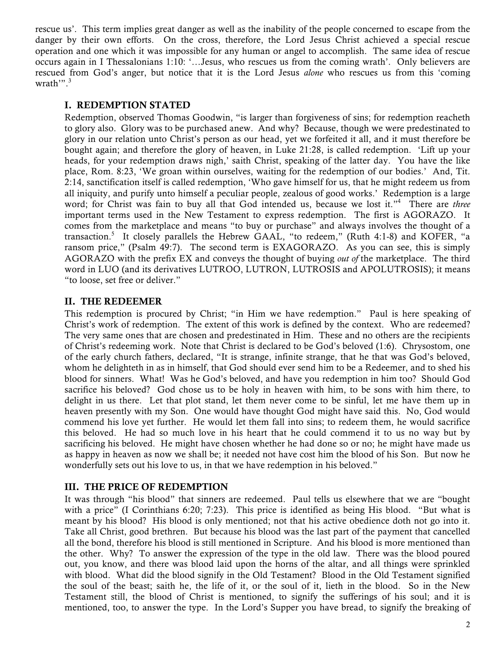rescue us'. This term implies great danger as well as the inability of the people concerned to escape from the danger by their own efforts. On the cross, therefore, the Lord Jesus Christ achieved a special rescue operation and one which it was impossible for any human or angel to accomplish. The same idea of rescue occurs again in I Thessalonians 1:10: '…Jesus, who rescues us from the coming wrath'. Only believers are rescued from God's anger, but notice that it is the Lord Jesus *alone* who rescues us from this 'coming wrath'". 3

#### I. REDEMPTION STATED

Redemption, observed Thomas Goodwin, "is larger than forgiveness of sins; for redemption reacheth to glory also. Glory was to be purchased anew. And why? Because, though we were predestinated to glory in our relation unto Christ's person as our head, yet we forfeited it all, and it must therefore be bought again; and therefore the glory of heaven, in Luke 21:28, is called redemption. 'Lift up your heads, for your redemption draws nigh,' saith Christ, speaking of the latter day. You have the like place, Rom. 8:23, 'We groan within ourselves, waiting for the redemption of our bodies.' And, Tit. 2:14, sanctification itself is called redemption, 'Who gave himself for us, that he might redeem us from all iniquity, and purify unto himself a peculiar people, zealous of good works.' Redemption is a large word; for Christ was fain to buy all that God intended us, because we lost it."4 There are *three* important terms used in the New Testament to express redemption. The first is AGORAZO. It comes from the marketplace and means "to buy or purchase" and always involves the thought of a transaction.<sup>5</sup> It closely parallels the Hebrew GAAL, "to redeem," (Ruth 4:1-8) and KOFER, "a ransom price," (Psalm 49:7). The second term is EXAGORAZO. As you can see, this is simply AGORAZO with the prefix EX and conveys the thought of buying *out of* the marketplace. The third word in LUO (and its derivatives LUTROO, LUTRON, LUTROSIS and APOLUTROSIS); it means "to loose, set free or deliver."

### II. THE REDEEMER

This redemption is procured by Christ; "in Him we have redemption." Paul is here speaking of Christ's work of redemption. The extent of this work is defined by the context. Who are redeemed? The very same ones that are chosen and predestinated in Him. These and no others are the recipients of Christ's redeeming work. Note that Christ is declared to be God's beloved (1:6). Chrysostom, one of the early church fathers, declared, "It is strange, infinite strange, that he that was God's beloved, whom he delighteth in as in himself, that God should ever send him to be a Redeemer, and to shed his blood for sinners. What! Was he God's beloved, and have you redemption in him too? Should God sacrifice his beloved? God chose us to be holy in heaven with him, to be sons with him there, to delight in us there. Let that plot stand, let them never come to be sinful, let me have them up in heaven presently with my Son. One would have thought God might have said this. No, God would commend his love yet further. He would let them fall into sins; to redeem them, he would sacrifice this beloved. He had so much love in his heart that he could commend it to us no way but by sacrificing his beloved. He might have chosen whether he had done so or no; he might have made us as happy in heaven as now we shall be; it needed not have cost him the blood of his Son. But now he wonderfully sets out his love to us, in that we have redemption in his beloved."

### III. THE PRICE OF REDEMPTION

It was through "his blood" that sinners are redeemed. Paul tells us elsewhere that we are "bought with a price" (I Corinthians 6:20; 7:23). This price is identified as being His blood. "But what is meant by his blood? His blood is only mentioned; not that his active obedience doth not go into it. Take all Christ, good brethren. But because his blood was the last part of the payment that cancelled all the bond, therefore his blood is still mentioned in Scripture. And his blood is more mentioned than the other. Why? To answer the expression of the type in the old law. There was the blood poured out, you know, and there was blood laid upon the horns of the altar, and all things were sprinkled with blood. What did the blood signify in the Old Testament? Blood in the Old Testament signified the soul of the beast; saith he, the life of it, or the soul of it, lieth in the blood. So in the New Testament still, the blood of Christ is mentioned, to signify the sufferings of his soul; and it is mentioned, too, to answer the type. In the Lord's Supper you have bread, to signify the breaking of